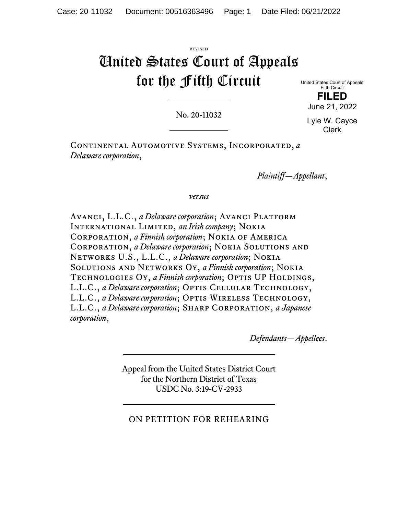## REVISED United States Court of Appeals for the Fifth Circuit

United States Court of Appeals Fifth Circuit **FILED** 

No. 20-11032

Lyle W. Cayce Clerk

June 21, 2022

Continental Automotive Systems, Incorporated, *a Delaware corporation*,

*Plaintiff—Appellant*,

*versus*

AVANCI, L.L.C., *a Delaware corporation*; AVANCI PLATFORM International Limited, *an Irish company*; Nokia Corporation, *a Finnish corporation*; Nokia of America Corporation, *a Delaware corporation*; Nokia Solutions and Networks U.S., L.L.C., *a Delaware corporation*; Nokia Solutions and Networks Oy, *a Finnish corporation*; Nokia TECHNOLOGIES OY, a Finnish corporation; OPTIS UP HOLDINGS, L.L.C., *a Delaware corporation*; OPTIS CELLULAR TECHNOLOGY, L.L.C., *a Delaware corporation*; OPTIS WIRELESS TECHNOLOGY, L.L.C., *a Delaware corporation*; Sharp Corporation, *a Japanese corporation*,

*Defendants—Appellees*.

Appeal from the United States District Court for the Northern District of Texas USDC No. 3:19-CV-2933

## ON PETITION FOR REHEARING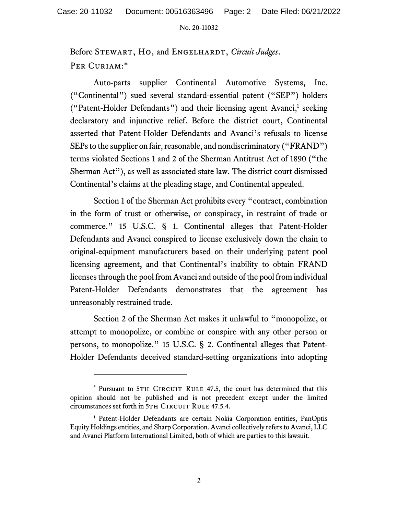## No. 20-11032

Before Stewart, Ho, and Engelhardt, *Circuit Judges*. PER CURIAM:\*

Auto-parts supplier Continental Automotive Systems, Inc. ("Continental") sued several standard-essential patent ("SEP") holders ("Patent-Holder Defendants") and their licensing agent Avanci,<sup>1</sup> seeking declaratory and injunctive relief. Before the district court, Continental asserted that Patent-Holder Defendants and Avanci's refusals to license SEPs to the supplier on fair, reasonable, and nondiscriminatory ("FRAND") terms violated Sections 1 and 2 of the Sherman Antitrust Act of 1890 ("the Sherman Act"), as well as associated state law. The district court dismissed Continental's claims at the pleading stage, and Continental appealed.

 Section 1 of the Sherman Act prohibits every "contract, combination in the form of trust or otherwise, or conspiracy, in restraint of trade or commerce." 15 U.S.C. § 1. Continental alleges that Patent-Holder Defendants and Avanci conspired to license exclusively down the chain to original-equipment manufacturers based on their underlying patent pool licensing agreement, and that Continental's inability to obtain FRAND licenses through the pool from Avanci and outside of the pool from individual Patent-Holder Defendants demonstrates that the agreement has unreasonably restrained trade.

 Section 2 of the Sherman Act makes it unlawful to "monopolize, or attempt to monopolize, or combine or conspire with any other person or persons, to monopolize." 15 U.S.C. § 2. Continental alleges that Patent-Holder Defendants deceived standard-setting organizations into adopting

<sup>\*</sup> Pursuant to 5TH CIRCUIT RULE 47.5, the court has determined that this opinion should not be published and is not precedent except under the limited circumstances set forth in 5TH CIRCUIT RULE 47.5.4.

<sup>&</sup>lt;sup>1</sup> Patent-Holder Defendants are certain Nokia Corporation entities, PanOptis Equity Holdings entities, and Sharp Corporation. Avanci collectively refers to Avanci, LLC and Avanci Platform International Limited, both of which are parties to this lawsuit.